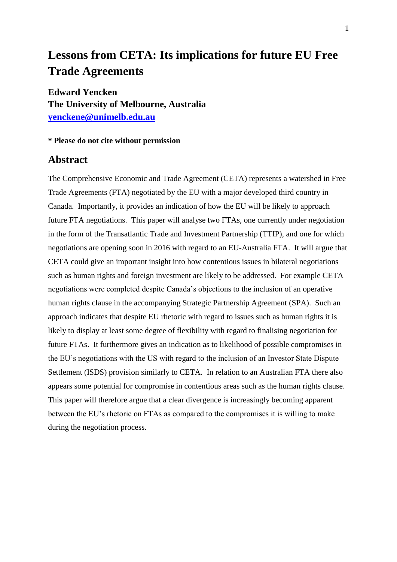# **Lessons from CETA: Its implications for future EU Free Trade Agreements**

**Edward Yencken The University of Melbourne, Australia [yenckene@unimelb.edu.au](mailto:yenckene@unimelb.edu.au)**

# **\* Please do not cite without permission**

# **Abstract**

The Comprehensive Economic and Trade Agreement (CETA) represents a watershed in Free Trade Agreements (FTA) negotiated by the EU with a major developed third country in Canada. Importantly, it provides an indication of how the EU will be likely to approach future FTA negotiations. This paper will analyse two FTAs, one currently under negotiation in the form of the Transatlantic Trade and Investment Partnership (TTIP), and one for which negotiations are opening soon in 2016 with regard to an EU-Australia FTA. It will argue that CETA could give an important insight into how contentious issues in bilateral negotiations such as human rights and foreign investment are likely to be addressed. For example CETA negotiations were completed despite Canada's objections to the inclusion of an operative human rights clause in the accompanying Strategic Partnership Agreement (SPA). Such an approach indicates that despite EU rhetoric with regard to issues such as human rights it is likely to display at least some degree of flexibility with regard to finalising negotiation for future FTAs. It furthermore gives an indication as to likelihood of possible compromises in the EU's negotiations with the US with regard to the inclusion of an Investor State Dispute Settlement (ISDS) provision similarly to CETA. In relation to an Australian FTA there also appears some potential for compromise in contentious areas such as the human rights clause. This paper will therefore argue that a clear divergence is increasingly becoming apparent between the EU's rhetoric on FTAs as compared to the compromises it is willing to make during the negotiation process.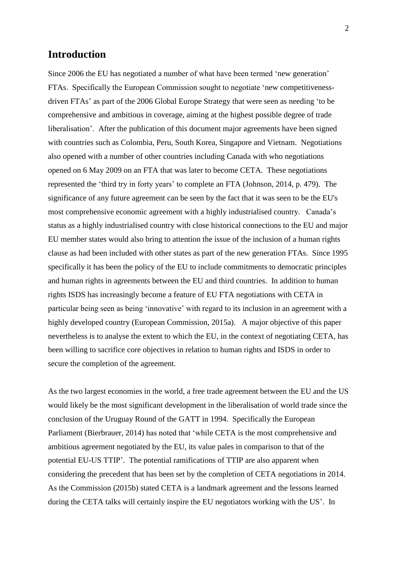# **Introduction**

Since 2006 the EU has negotiated a number of what have been termed 'new generation' FTAs. Specifically the European Commission sought to negotiate ‗new competitivenessdriven FTAs' as part of the 2006 Global Europe Strategy that were seen as needing 'to be comprehensive and ambitious in coverage, aiming at the highest possible degree of trade liberalisation'. After the publication of this document major agreements have been signed with countries such as Colombia, Peru, South Korea, Singapore and Vietnam. Negotiations also opened with a number of other countries including Canada with who negotiations opened on 6 May 2009 on an FTA that was later to become CETA. These negotiations represented the 'third try in forty years' to complete an FTA (Johnson, 2014, p. 479). The significance of any future agreement can be seen by the fact that it was seen to be the EU's most comprehensive economic agreement with a highly industrialised country. Canada's status as a highly industrialised country with close historical connections to the EU and major EU member states would also bring to attention the issue of the inclusion of a human rights clause as had been included with other states as part of the new generation FTAs. Since 1995 specifically it has been the policy of the EU to include commitments to democratic principles and human rights in agreements between the EU and third countries. In addition to human rights ISDS has increasingly become a feature of EU FTA negotiations with CETA in particular being seen as being 'innovative' with regard to its inclusion in an agreement with a highly developed country (European Commission, 2015a). A major objective of this paper nevertheless is to analyse the extent to which the EU, in the context of negotiating CETA, has been willing to sacrifice core objectives in relation to human rights and ISDS in order to secure the completion of the agreement.

As the two largest economies in the world, a free trade agreement between the EU and the US would likely be the most significant development in the liberalisation of world trade since the conclusion of the Uruguay Round of the GATT in 1994. Specifically the European Parliament (Bierbrauer, 2014) has noted that 'while CETA is the most comprehensive and ambitious agreement negotiated by the EU, its value pales in comparison to that of the potential EU-US TTIP'. The potential ramifications of TTIP are also apparent when considering the precedent that has been set by the completion of CETA negotiations in 2014. As the Commission (2015b) stated CETA is a landmark agreement and the lessons learned during the CETA talks will certainly inspire the EU negotiators working with the US'. In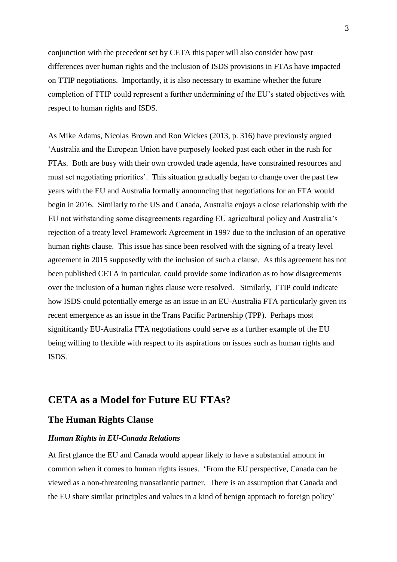conjunction with the precedent set by CETA this paper will also consider how past differences over human rights and the inclusion of ISDS provisions in FTAs have impacted on TTIP negotiations. Importantly, it is also necessary to examine whether the future completion of TTIP could represent a further undermining of the EU's stated objectives with respect to human rights and ISDS.

As Mike Adams, Nicolas Brown and Ron Wickes (2013, p. 316) have previously argued ‗Australia and the European Union have purposely looked past each other in the rush for FTAs. Both are busy with their own crowded trade agenda, have constrained resources and must set negotiating priorities'. This situation gradually began to change over the past few years with the EU and Australia formally announcing that negotiations for an FTA would begin in 2016. Similarly to the US and Canada, Australia enjoys a close relationship with the EU not withstanding some disagreements regarding EU agricultural policy and Australia's rejection of a treaty level Framework Agreement in 1997 due to the inclusion of an operative human rights clause. This issue has since been resolved with the signing of a treaty level agreement in 2015 supposedly with the inclusion of such a clause. As this agreement has not been published CETA in particular, could provide some indication as to how disagreements over the inclusion of a human rights clause were resolved. Similarly, TTIP could indicate how ISDS could potentially emerge as an issue in an EU-Australia FTA particularly given its recent emergence as an issue in the Trans Pacific Partnership (TPP). Perhaps most significantly EU-Australia FTA negotiations could serve as a further example of the EU being willing to flexible with respect to its aspirations on issues such as human rights and ISDS.

# **CETA as a Model for Future EU FTAs?**

## **The Human Rights Clause**

#### *Human Rights in EU-Canada Relations*

At first glance the EU and Canada would appear likely to have a substantial amount in common when it comes to human rights issues. ‗From the EU perspective, Canada can be viewed as a non-threatening transatlantic partner. There is an assumption that Canada and the EU share similar principles and values in a kind of benign approach to foreign policy'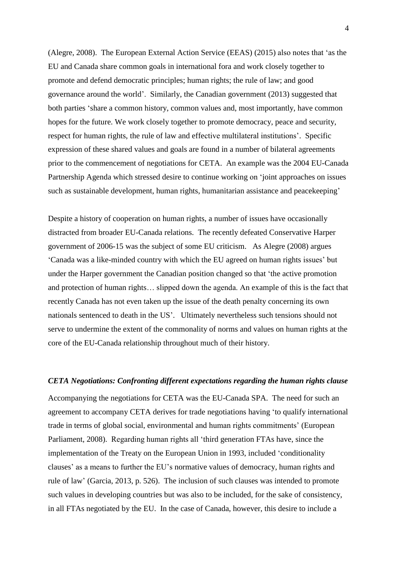(Alegre, 2008). The European External Action Service (EEAS) (2015) also notes that ‗as the EU and Canada share common goals in international fora and work closely together to promote and defend democratic principles; human rights; the rule of law; and good governance around the world'. Similarly, the Canadian government (2013) suggested that both parties 'share a common history, common values and, most importantly, have common hopes for the future. We work closely together to promote democracy, peace and security, respect for human rights, the rule of law and effective multilateral institutions'. Specific expression of these shared values and goals are found in a number of bilateral agreements prior to the commencement of negotiations for CETA. An example was the 2004 EU-Canada Partnership Agenda which stressed desire to continue working on 'joint approaches on issues such as sustainable development, human rights, humanitarian assistance and peacekeeping'

Despite a history of cooperation on human rights, a number of issues have occasionally distracted from broader EU-Canada relations. The recently defeated Conservative Harper government of 2006-15 was the subject of some EU criticism. As Alegre (2008) argues ‗Canada was a like-minded country with which the EU agreed on human rights issues' but under the Harper government the Canadian position changed so that 'the active promotion and protection of human rights… slipped down the agenda. An example of this is the fact that recently Canada has not even taken up the issue of the death penalty concerning its own nationals sentenced to death in the US'. Ultimately nevertheless such tensions should not serve to undermine the extent of the commonality of norms and values on human rights at the core of the EU-Canada relationship throughout much of their history.

#### *CETA Negotiations: Confronting different expectations regarding the human rights clause*

Accompanying the negotiations for CETA was the EU-Canada SPA. The need for such an agreement to accompany CETA derives for trade negotiations having 'to qualify international trade in terms of global social, environmental and human rights commitments' (European Parliament, 2008). Regarding human rights all 'third generation FTAs have, since the implementation of the Treaty on the European Union in 1993, included 'conditionality clauses' as a means to further the EU's normative values of democracy, human rights and rule of law' (Garcia, 2013, p. 526). The inclusion of such clauses was intended to promote such values in developing countries but was also to be included, for the sake of consistency, in all FTAs negotiated by the EU. In the case of Canada, however, this desire to include a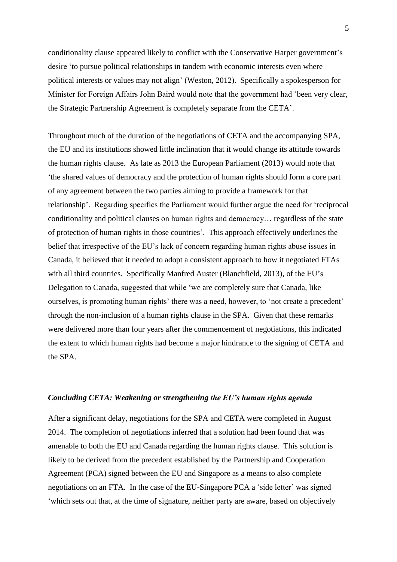conditionality clause appeared likely to conflict with the Conservative Harper government's desire 'to pursue political relationships in tandem with economic interests even where political interests or values may not align' (Weston, 2012). Specifically a spokesperson for Minister for Foreign Affairs John Baird would note that the government had 'been very clear, the Strategic Partnership Agreement is completely separate from the CETA'.

Throughout much of the duration of the negotiations of CETA and the accompanying SPA, the EU and its institutions showed little inclination that it would change its attitude towards the human rights clause. As late as 2013 the European Parliament (2013) would note that ‗the shared values of democracy and the protection of human rights should form a core part of any agreement between the two parties aiming to provide a framework for that relationship'. Regarding specifics the Parliament would further argue the need for 'reciprocal conditionality and political clauses on human rights and democracy… regardless of the state of protection of human rights in those countries'. This approach effectively underlines the belief that irrespective of the EU's lack of concern regarding human rights abuse issues in Canada, it believed that it needed to adopt a consistent approach to how it negotiated FTAs with all third countries. Specifically Manfred Auster (Blanchfield, 2013), of the EU's Delegation to Canada, suggested that while 'we are completely sure that Canada, like ourselves, is promoting human rights' there was a need, however, to 'not create a precedent' through the non-inclusion of a human rights clause in the SPA. Given that these remarks were delivered more than four years after the commencement of negotiations, this indicated the extent to which human rights had become a major hindrance to the signing of CETA and the SPA.

#### *Concluding CETA: Weakening or strengthening the EU's human rights agenda*

After a significant delay, negotiations for the SPA and CETA were completed in August 2014. The completion of negotiations inferred that a solution had been found that was amenable to both the EU and Canada regarding the human rights clause. This solution is likely to be derived from the precedent established by the Partnership and Cooperation Agreement (PCA) signed between the EU and Singapore as a means to also complete negotiations on an FTA. In the case of the EU-Singapore PCA a 'side letter' was signed ‗which sets out that, at the time of signature, neither party are aware, based on objectively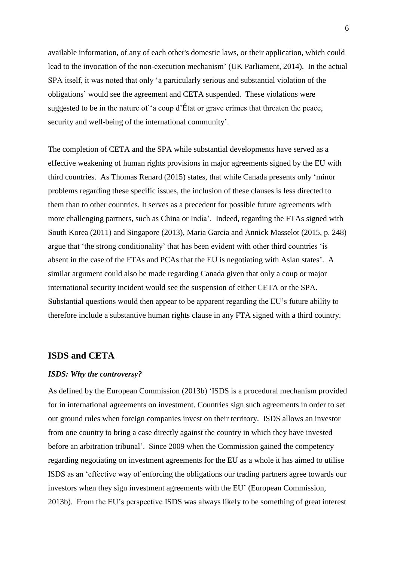available information, of any of each other's domestic laws, or their application, which could lead to the invocation of the non-execution mechanism' (UK Parliament, 2014). In the actual SPA itself, it was noted that only 'a particularly serious and substantial violation of the obligations' would see the agreement and CETA suspended. These violations were suggested to be in the nature of 'a coup d'État or grave crimes that threaten the peace, security and well-being of the international community'.

The completion of CETA and the SPA while substantial developments have served as a effective weakening of human rights provisions in major agreements signed by the EU with third countries. As Thomas Renard (2015) states, that while Canada presents only 'minor problems regarding these specific issues, the inclusion of these clauses is less directed to them than to other countries. It serves as a precedent for possible future agreements with more challenging partners, such as China or India'. Indeed, regarding the FTAs signed with South Korea (2011) and Singapore (2013), Maria Garcia and Annick Masselot (2015, p. 248) argue that 'the strong conditionality' that has been evident with other third countries 'is absent in the case of the FTAs and PCAs that the EU is negotiating with Asian states'. A similar argument could also be made regarding Canada given that only a coup or major international security incident would see the suspension of either CETA or the SPA. Substantial questions would then appear to be apparent regarding the EU's future ability to therefore include a substantive human rights clause in any FTA signed with a third country.

#### **ISDS and CETA**

#### *ISDS: Why the controversy?*

As defined by the European Commission (2013b) 'ISDS is a procedural mechanism provided for in international agreements on investment. Countries sign such agreements in order to set out ground rules when foreign companies invest on their territory. ISDS allows an investor from one country to bring a case directly against the country in which they have invested before an arbitration tribunal'. Since 2009 when the Commission gained the competency regarding negotiating on investment agreements for the EU as a whole it has aimed to utilise ISDS as an ‗effective way of enforcing the obligations our trading partners agree towards our investors when they sign investment agreements with the EU' (European Commission, 2013b). From the EU's perspective ISDS was always likely to be something of great interest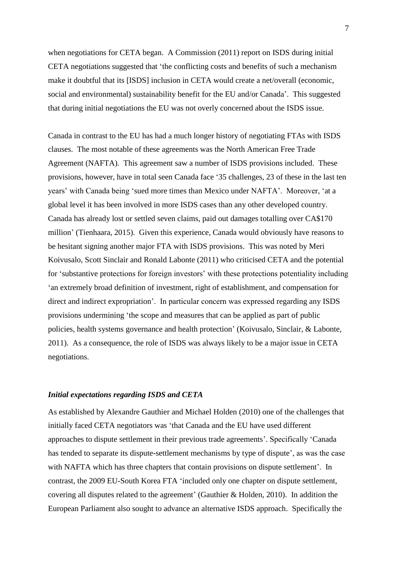when negotiations for CETA began. A Commission (2011) report on ISDS during initial CETA negotiations suggested that 'the conflicting costs and benefits of such a mechanism make it doubtful that its [ISDS] inclusion in CETA would create a net/overall (economic, social and environmental) sustainability benefit for the EU and/or Canada'. This suggested that during initial negotiations the EU was not overly concerned about the ISDS issue.

Canada in contrast to the EU has had a much longer history of negotiating FTAs with ISDS clauses. The most notable of these agreements was the North American Free Trade Agreement (NAFTA). This agreement saw a number of ISDS provisions included. These provisions, however, have in total seen Canada face ‗35 challenges, 23 of these in the last ten years' with Canada being 'sued more times than Mexico under NAFTA'. Moreover, 'at a global level it has been involved in more ISDS cases than any other developed country. Canada has already lost or settled seven claims, paid out damages totalling over CA\$170 million' (Tienhaara, 2015). Given this experience, Canada would obviously have reasons to be hesitant signing another major FTA with ISDS provisions. This was noted by Meri Koivusalo, Scott Sinclair and Ronald Labonte (2011) who criticised CETA and the potential for ‗substantive protections for foreign investors' with these protections potentiality including ‗an extremely broad definition of investment, right of establishment, and compensation for direct and indirect expropriation'. In particular concern was expressed regarding any ISDS provisions undermining ‗the scope and measures that can be applied as part of public policies, health systems governance and health protection' (Koivusalo, Sinclair, & Labonte, 2011). As a consequence, the role of ISDS was always likely to be a major issue in CETA negotiations.

#### *Initial expectations regarding ISDS and CETA*

As established by Alexandre Gauthier and Michael Holden (2010) one of the challenges that initially faced CETA negotiators was 'that Canada and the EU have used different approaches to dispute settlement in their previous trade agreements'. Specifically 'Canada' has tended to separate its dispute-settlement mechanisms by type of dispute', as was the case with NAFTA which has three chapters that contain provisions on dispute settlement'. In contrast, the 2009 EU-South Korea FTA ‗included only one chapter on dispute settlement, covering all disputes related to the agreement' (Gauthier & Holden, 2010). In addition the European Parliament also sought to advance an alternative ISDS approach. Specifically the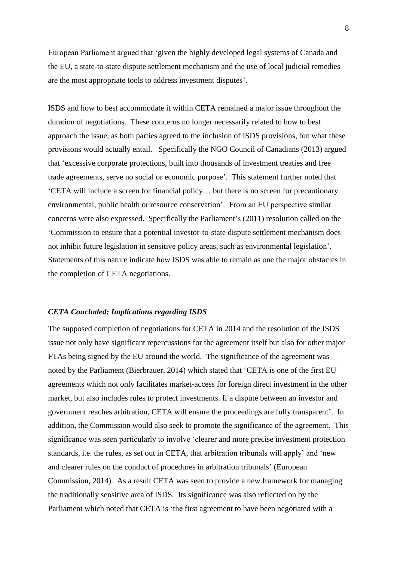European Parliament argued that 'given the highly developed legal systems of Canada and the EU, a state-to-state dispute settlement mechanism and the use of local judicial remedies are the most appropriate tools to address investment disputes'.

ISDS and how to best accommodate it within CETA remained a major issue throughout the duration of negotiations. These concerns no longer necessarily related to how to best approach the issue, as both parties agreed to the inclusion of ISDS provisions, but what these provisions would actually entail. Specifically the NGO Council of Canadians (2013) argued that 'excessive corporate protections, built into thousands of investment treaties and free trade agreements, serve no social or economic purpose'. This statement further noted that ‗CETA will include a screen for financial policy… but there is no screen for precautionary environmental, public health or resource conservation'. From an EU perspective similar concerns were also expressed. Specifically the Parliament's (2011) resolution called on the ‗Commission to ensure that a potential investor-to-state dispute settlement mechanism does not inhibit future legislation in sensitive policy areas, such as environmental legislation'. Statements of this nature indicate how ISDS was able to remain as one the major obstacles in the completion of CETA negotiations.

#### *CETA Concluded: Implications regarding ISDS*

The supposed completion of negotiations for CETA in 2014 and the resolution of the ISDS issue not only have significant repercussions for the agreement itself but also for other major FTAs being signed by the EU around the world. The significance of the agreement was noted by the Parliament (Bierbrauer, 2014) which stated that 'CETA is one of the first EU agreements which not only facilitates market-access for foreign direct investment in the other market, but also includes rules to protect investments. If a dispute between an investor and government reaches arbitration, CETA will ensure the proceedings are fully transparent'. In addition, the Commission would also seek to promote the significance of the agreement. This significance was seen particularly to involve 'clearer and more precise investment protection standards, i.e. the rules, as set out in CETA, that arbitration tribunals will apply' and 'new and clearer rules on the conduct of procedures in arbitration tribunals' (European Commission, 2014). As a result CETA was seen to provide a new framework for managing the traditionally sensitive area of ISDS. Its significance was also reflected on by the Parliament which noted that CETA is 'the first agreement to have been negotiated with a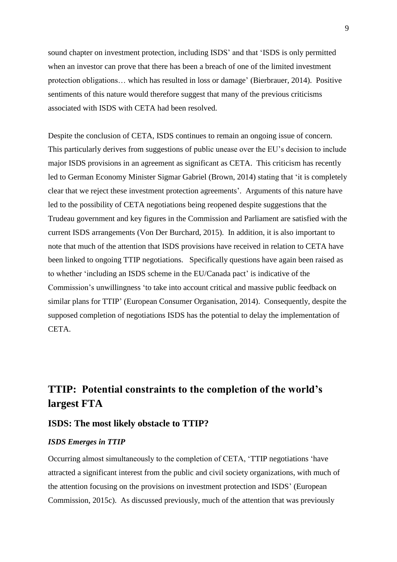sound chapter on investment protection, including ISDS' and that 'ISDS is only permitted when an investor can prove that there has been a breach of one of the limited investment protection obligations… which has resulted in loss or damage' (Bierbrauer, 2014). Positive sentiments of this nature would therefore suggest that many of the previous criticisms associated with ISDS with CETA had been resolved.

Despite the conclusion of CETA, ISDS continues to remain an ongoing issue of concern. This particularly derives from suggestions of public unease over the EU's decision to include major ISDS provisions in an agreement as significant as CETA. This criticism has recently led to German Economy Minister Sigmar Gabriel (Brown, 2014) stating that 'it is completely clear that we reject these investment protection agreements'. Arguments of this nature have led to the possibility of CETA negotiations being reopened despite suggestions that the Trudeau government and key figures in the Commission and Parliament are satisfied with the current ISDS arrangements (Von Der Burchard, 2015). In addition, it is also important to note that much of the attention that ISDS provisions have received in relation to CETA have been linked to ongoing TTIP negotiations. Specifically questions have again been raised as to whether ‗including an ISDS scheme in the EU/Canada pact' is indicative of the Commission's unwillingness 'to take into account critical and massive public feedback on similar plans for TTIP' (European Consumer Organisation, 2014). Consequently, despite the supposed completion of negotiations ISDS has the potential to delay the implementation of CETA.

# **TTIP: Potential constraints to the completion of the world's largest FTA**

## **ISDS: The most likely obstacle to TTIP?**

#### *ISDS Emerges in TTIP*

Occurring almost simultaneously to the completion of CETA, 'TTIP negotiations 'have attracted a significant interest from the public and civil society organizations, with much of the attention focusing on the provisions on investment protection and ISDS' (European Commission, 2015c). As discussed previously, much of the attention that was previously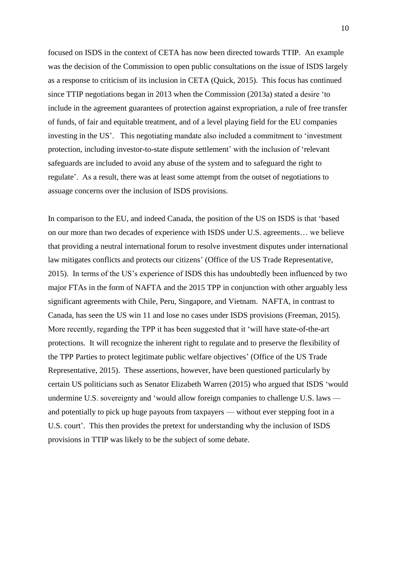focused on ISDS in the context of CETA has now been directed towards TTIP. An example was the decision of the Commission to open public consultations on the issue of ISDS largely as a response to criticism of its inclusion in CETA (Quick, 2015). This focus has continued since TTIP negotiations began in 2013 when the Commission (2013a) stated a desire 'to include in the agreement guarantees of protection against expropriation, a rule of free transfer of funds, of fair and equitable treatment, and of a level playing field for the EU companies investing in the US'. This negotiating mandate also included a commitment to 'investment protection, including investor-to-state dispute settlement' with the inclusion of 'relevant safeguards are included to avoid any abuse of the system and to safeguard the right to regulate'. As a result, there was at least some attempt from the outset of negotiations to assuage concerns over the inclusion of ISDS provisions.

In comparison to the EU, and indeed Canada, the position of the US on ISDS is that 'based on our more than two decades of experience with ISDS under U.S. agreements… we believe that providing a neutral international forum to resolve investment disputes under international law mitigates conflicts and protects our citizens' (Office of the US Trade Representative, 2015). In terms of the US's experience of ISDS this has undoubtedly been influenced by two major FTAs in the form of NAFTA and the 2015 TPP in conjunction with other arguably less significant agreements with Chile, Peru, Singapore, and Vietnam. NAFTA, in contrast to Canada, has seen the US win 11 and lose no cases under ISDS provisions (Freeman, 2015). More recently, regarding the TPP it has been suggested that it 'will have state-of-the-art protections. It will recognize the inherent right to regulate and to preserve the flexibility of the TPP Parties to protect legitimate public welfare objectives' (Office of the US Trade Representative, 2015). These assertions, however, have been questioned particularly by certain US politicians such as Senator Elizabeth Warren (2015) who argued that ISDS 'would undermine U.S. sovereignty and 'would allow foreign companies to challenge U.S. laws and potentially to pick up huge payouts from taxpayers — without ever stepping foot in a U.S. court'. This then provides the pretext for understanding why the inclusion of ISDS provisions in TTIP was likely to be the subject of some debate.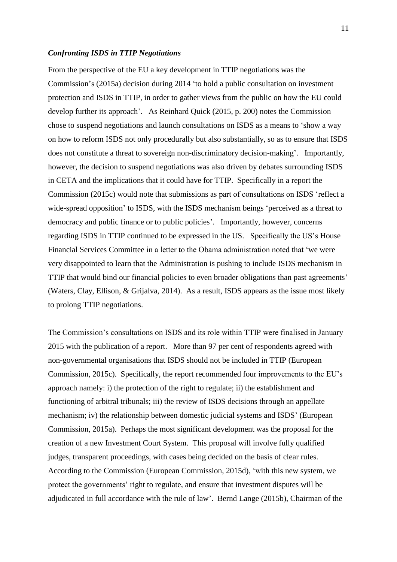#### *Confronting ISDS in TTIP Negotiations*

From the perspective of the EU a key development in TTIP negotiations was the Commission's (2015a) decision during 2014 'to hold a public consultation on investment protection and ISDS in TTIP, in order to gather views from the public on how the EU could develop further its approach'. As Reinhard Quick (2015, p. 200) notes the Commission chose to suspend negotiations and launch consultations on ISDS as a means to 'show a way on how to reform ISDS not only procedurally but also substantially, so as to ensure that ISDS does not constitute a threat to sovereign non-discriminatory decision-making'. Importantly, however, the decision to suspend negotiations was also driven by debates surrounding ISDS in CETA and the implications that it could have for TTIP. Specifically in a report the Commission (2015c) would note that submissions as part of consultations on ISDS 'reflect a wide-spread opposition' to ISDS, with the ISDS mechanism beings 'perceived as a threat to democracy and public finance or to public policies'. Importantly, however, concerns regarding ISDS in TTIP continued to be expressed in the US. Specifically the US's House Financial Services Committee in a letter to the Obama administration noted that 'we were very disappointed to learn that the Administration is pushing to include ISDS mechanism in TTIP that would bind our financial policies to even broader obligations than past agreements' (Waters, Clay, Ellison, & Grijalva, 2014). As a result, ISDS appears as the issue most likely to prolong TTIP negotiations.

The Commission's consultations on ISDS and its role within TTIP were finalised in January 2015 with the publication of a report. More than 97 per cent of respondents agreed with non-governmental organisations that ISDS should not be included in TTIP (European Commission, 2015c). Specifically, the report recommended four improvements to the EU's approach namely: i) the protection of the right to regulate; ii) the establishment and functioning of arbitral tribunals; iii) the review of ISDS decisions through an appellate mechanism; iv) the relationship between domestic judicial systems and ISDS' (European Commission, 2015a). Perhaps the most significant development was the proposal for the creation of a new Investment Court System. This proposal will involve fully qualified judges, transparent proceedings, with cases being decided on the basis of clear rules. According to the Commission (European Commission, 2015d), ‗with this new system, we protect the governments' right to regulate, and ensure that investment disputes will be adjudicated in full accordance with the rule of law'. Bernd Lange (2015b), Chairman of the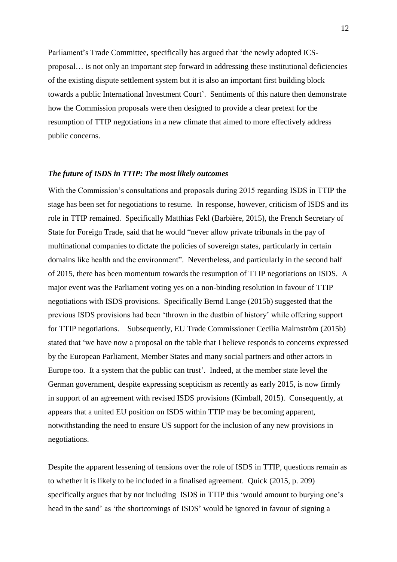Parliament's Trade Committee, specifically has argued that 'the newly adopted ICSproposal… is not only an important step forward in addressing these institutional deficiencies of the existing dispute settlement system but it is also an important first building block towards a public International Investment Court'. Sentiments of this nature then demonstrate how the Commission proposals were then designed to provide a clear pretext for the resumption of TTIP negotiations in a new climate that aimed to more effectively address public concerns.

#### *The future of ISDS in TTIP: The most likely outcomes*

With the Commission's consultations and proposals during 2015 regarding ISDS in TTIP the stage has been set for negotiations to resume. In response, however, criticism of ISDS and its role in TTIP remained. Specifically Matthias Fekl (Barbière, 2015), the French Secretary of State for Foreign Trade, said that he would "never allow private tribunals in the pay of multinational companies to dictate the policies of sovereign states, particularly in certain domains like health and the environment". Nevertheless, and particularly in the second half of 2015, there has been momentum towards the resumption of TTIP negotiations on ISDS. A major event was the Parliament voting yes on a non-binding resolution in favour of TTIP negotiations with ISDS provisions. Specifically Bernd Lange (2015b) suggested that the previous ISDS provisions had been 'thrown in the dustbin of history' while offering support for TTIP negotiations. Subsequently, EU Trade Commissioner Cecilia Malmström (2015b) stated that ‗we have now a proposal on the table that I believe responds to concerns expressed by the European Parliament, Member States and many social partners and other actors in Europe too. It a system that the public can trust'. Indeed, at the member state level the German government, despite expressing scepticism as recently as early 2015, is now firmly in support of an agreement with revised ISDS provisions (Kimball, 2015). Consequently, at appears that a united EU position on ISDS within TTIP may be becoming apparent, notwithstanding the need to ensure US support for the inclusion of any new provisions in negotiations.

Despite the apparent lessening of tensions over the role of ISDS in TTIP, questions remain as to whether it is likely to be included in a finalised agreement. Quick (2015, p. 209) specifically argues that by not including ISDS in TTIP this 'would amount to burying one's head in the sand' as 'the shortcomings of ISDS' would be ignored in favour of signing a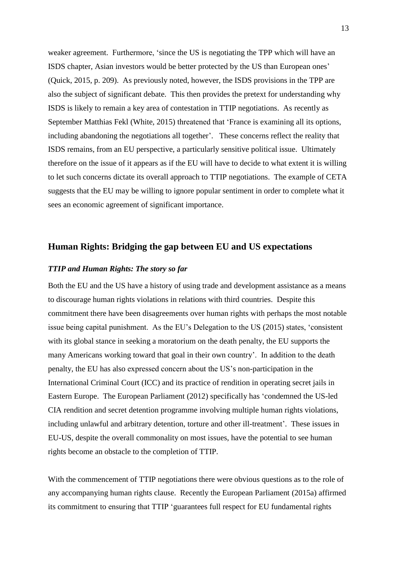weaker agreement. Furthermore, 'since the US is negotiating the TPP which will have an ISDS chapter, Asian investors would be better protected by the US than European ones' (Quick, 2015, p. 209). As previously noted, however, the ISDS provisions in the TPP are also the subject of significant debate. This then provides the pretext for understanding why ISDS is likely to remain a key area of contestation in TTIP negotiations. As recently as September Matthias Fekl (White, 2015) threatened that 'France is examining all its options, including abandoning the negotiations all together'. These concerns reflect the reality that ISDS remains, from an EU perspective, a particularly sensitive political issue. Ultimately therefore on the issue of it appears as if the EU will have to decide to what extent it is willing to let such concerns dictate its overall approach to TTIP negotiations. The example of CETA suggests that the EU may be willing to ignore popular sentiment in order to complete what it sees an economic agreement of significant importance.

# **Human Rights: Bridging the gap between EU and US expectations**

#### *TTIP and Human Rights: The story so far*

Both the EU and the US have a history of using trade and development assistance as a means to discourage human rights violations in relations with third countries. Despite this commitment there have been disagreements over human rights with perhaps the most notable issue being capital punishment. As the EU's Delegation to the US (2015) states, ‗consistent with its global stance in seeking a moratorium on the death penalty, the EU supports the many Americans working toward that goal in their own country'. In addition to the death penalty, the EU has also expressed concern about the US's non-participation in the International Criminal Court (ICC) and its practice of rendition in operating secret jails in Eastern Europe. The European Parliament (2012) specifically has 'condemned the US-led CIA rendition and secret detention programme involving multiple human rights violations, including unlawful and arbitrary detention, torture and other ill-treatment'. These issues in EU-US, despite the overall commonality on most issues, have the potential to see human rights become an obstacle to the completion of TTIP.

With the commencement of TTIP negotiations there were obvious questions as to the role of any accompanying human rights clause. Recently the European Parliament (2015a) affirmed its commitment to ensuring that TTIP 'guarantees full respect for EU fundamental rights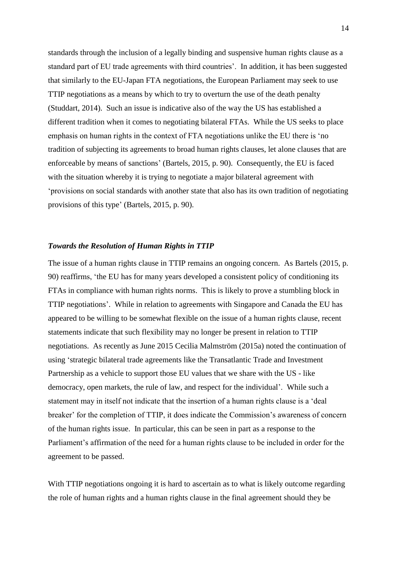standards through the inclusion of a legally binding and suspensive human rights clause as a standard part of EU trade agreements with third countries'. In addition, it has been suggested that similarly to the EU-Japan FTA negotiations, the European Parliament may seek to use TTIP negotiations as a means by which to try to overturn the use of the death penalty (Studdart, 2014). Such an issue is indicative also of the way the US has established a different tradition when it comes to negotiating bilateral FTAs. While the US seeks to place emphasis on human rights in the context of FTA negotiations unlike the EU there is 'no tradition of subjecting its agreements to broad human rights clauses, let alone clauses that are enforceable by means of sanctions' (Bartels, 2015, p. 90). Consequently, the EU is faced with the situation whereby it is trying to negotiate a major bilateral agreement with ‗provisions on social standards with another state that also has its own tradition of negotiating provisions of this type' (Bartels, 2015, p. 90).

#### *Towards the Resolution of Human Rights in TTIP*

The issue of a human rights clause in TTIP remains an ongoing concern. As Bartels (2015, p. 90) reaffirms, ‗the EU has for many years developed a consistent policy of conditioning its FTAs in compliance with human rights norms. This is likely to prove a stumbling block in TTIP negotiations'. While in relation to agreements with Singapore and Canada the EU has appeared to be willing to be somewhat flexible on the issue of a human rights clause, recent statements indicate that such flexibility may no longer be present in relation to TTIP negotiations. As recently as June 2015 Cecilia Malmström (2015a) noted the continuation of using ‗strategic bilateral trade agreements like the Transatlantic Trade and Investment Partnership as a vehicle to support those EU values that we share with the US - like democracy, open markets, the rule of law, and respect for the individual'. While such a statement may in itself not indicate that the insertion of a human rights clause is a 'deal breaker' for the completion of TTIP, it does indicate the Commission's awareness of concern of the human rights issue. In particular, this can be seen in part as a response to the Parliament's affirmation of the need for a human rights clause to be included in order for the agreement to be passed.

With TTIP negotiations ongoing it is hard to ascertain as to what is likely outcome regarding the role of human rights and a human rights clause in the final agreement should they be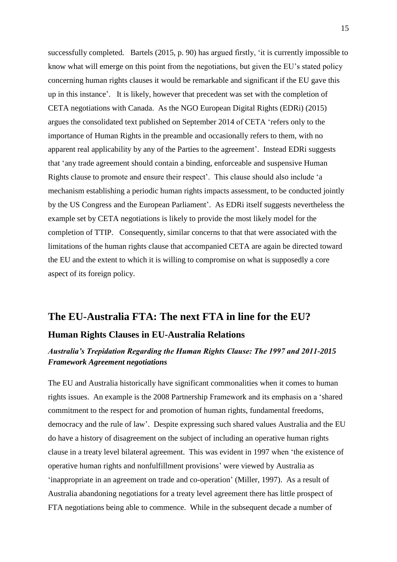successfully completed. Bartels (2015, p. 90) has argued firstly, 'it is currently impossible to know what will emerge on this point from the negotiations, but given the EU's stated policy concerning human rights clauses it would be remarkable and significant if the EU gave this up in this instance'. It is likely, however that precedent was set with the completion of CETA negotiations with Canada. As the NGO European Digital Rights (EDRi) (2015) argues the consolidated text published on September 2014 of CETA 'refers only to the importance of Human Rights in the preamble and occasionally refers to them, with no apparent real applicability by any of the Parties to the agreement'. Instead EDRi suggests that 'any trade agreement should contain a binding, enforceable and suspensive Human Rights clause to promote and ensure their respect'. This clause should also include 'a mechanism establishing a periodic human rights impacts assessment, to be conducted jointly by the US Congress and the European Parliament'. As EDRi itself suggests nevertheless the example set by CETA negotiations is likely to provide the most likely model for the completion of TTIP. Consequently, similar concerns to that that were associated with the limitations of the human rights clause that accompanied CETA are again be directed toward the EU and the extent to which it is willing to compromise on what is supposedly a core aspect of its foreign policy.

# **The EU-Australia FTA: The next FTA in line for the EU?**

## **Human Rights Clauses in EU-Australia Relations**

# *Australia's Trepidation Regarding the Human Rights Clause: The 1997 and 2011-2015 Framework Agreement negotiations*

The EU and Australia historically have significant commonalities when it comes to human rights issues. An example is the 2008 Partnership Framework and its emphasis on a 'shared commitment to the respect for and promotion of human rights, fundamental freedoms, democracy and the rule of law'. Despite expressing such shared values Australia and the EU do have a history of disagreement on the subject of including an operative human rights clause in a treaty level bilateral agreement. This was evident in 1997 when 'the existence of operative human rights and nonfulfillment provisions' were viewed by Australia as ‗inappropriate in an agreement on trade and co-operation' (Miller, 1997). As a result of Australia abandoning negotiations for a treaty level agreement there has little prospect of FTA negotiations being able to commence. While in the subsequent decade a number of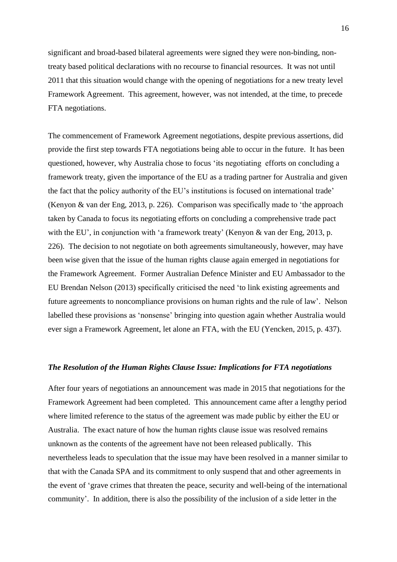significant and broad-based bilateral agreements were signed they were non-binding, nontreaty based political declarations with no recourse to financial resources. It was not until 2011 that this situation would change with the opening of negotiations for a new treaty level Framework Agreement. This agreement, however, was not intended, at the time, to precede FTA negotiations.

The commencement of Framework Agreement negotiations, despite previous assertions, did provide the first step towards FTA negotiations being able to occur in the future. It has been questioned, however, why Australia chose to focus 'its negotiating efforts on concluding a framework treaty, given the importance of the EU as a trading partner for Australia and given the fact that the policy authority of the EU's institutions is focused on international trade' (Kenyon & van der Eng, 2013, p. 226). Comparison was specifically made to 'the approach taken by Canada to focus its negotiating efforts on concluding a comprehensive trade pact with the EU', in conjunction with 'a framework treaty' (Kenyon & van der Eng, 2013, p. 226). The decision to not negotiate on both agreements simultaneously, however, may have been wise given that the issue of the human rights clause again emerged in negotiations for the Framework Agreement. Former Australian Defence Minister and EU Ambassador to the EU Brendan Nelson (2013) specifically criticised the need 'to link existing agreements and future agreements to noncompliance provisions on human rights and the rule of law'. Nelson labelled these provisions as 'nonsense' bringing into question again whether Australia would ever sign a Framework Agreement, let alone an FTA, with the EU (Yencken, 2015, p. 437).

#### *The Resolution of the Human Rights Clause Issue: Implications for FTA negotiations*

After four years of negotiations an announcement was made in 2015 that negotiations for the Framework Agreement had been completed. This announcement came after a lengthy period where limited reference to the status of the agreement was made public by either the EU or Australia. The exact nature of how the human rights clause issue was resolved remains unknown as the contents of the agreement have not been released publically. This nevertheless leads to speculation that the issue may have been resolved in a manner similar to that with the Canada SPA and its commitment to only suspend that and other agreements in the event of ‗grave crimes that threaten the peace, security and well-being of the international community'. In addition, there is also the possibility of the inclusion of a side letter in the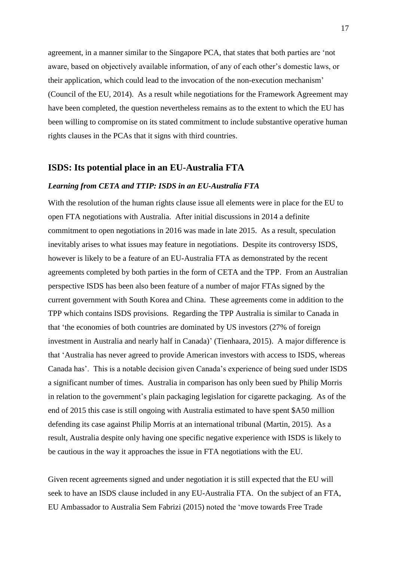agreement, in a manner similar to the Singapore PCA, that states that both parties are 'not aware, based on objectively available information, of any of each other's domestic laws, or their application, which could lead to the invocation of the non-execution mechanism' (Council of the EU, 2014). As a result while negotiations for the Framework Agreement may have been completed, the question nevertheless remains as to the extent to which the EU has been willing to compromise on its stated commitment to include substantive operative human rights clauses in the PCAs that it signs with third countries.

#### **ISDS: Its potential place in an EU-Australia FTA**

#### *Learning from CETA and TTIP: ISDS in an EU-Australia FTA*

With the resolution of the human rights clause issue all elements were in place for the EU to open FTA negotiations with Australia. After initial discussions in 2014 a definite commitment to open negotiations in 2016 was made in late 2015. As a result, speculation inevitably arises to what issues may feature in negotiations. Despite its controversy ISDS, however is likely to be a feature of an EU-Australia FTA as demonstrated by the recent agreements completed by both parties in the form of CETA and the TPP. From an Australian perspective ISDS has been also been feature of a number of major FTAs signed by the current government with South Korea and China. These agreements come in addition to the TPP which contains ISDS provisions. Regarding the TPP Australia is similar to Canada in that ‗the economies of both countries are dominated by US investors (27% of foreign investment in Australia and nearly half in Canada)' (Tienhaara, 2015). A major difference is that ‗Australia has never agreed to provide American investors with access to ISDS, whereas Canada has'. This is a notable decision given Canada's experience of being sued under ISDS a significant number of times. Australia in comparison has only been sued by Philip Morris in relation to the government's plain packaging legislation for cigarette packaging. As of the end of 2015 this case is still ongoing with Australia estimated to have spent \$A50 million defending its case against Philip Morris at an international tribunal (Martin, 2015). As a result, Australia despite only having one specific negative experience with ISDS is likely to be cautious in the way it approaches the issue in FTA negotiations with the EU.

Given recent agreements signed and under negotiation it is still expected that the EU will seek to have an ISDS clause included in any EU-Australia FTA. On the subject of an FTA, EU Ambassador to Australia Sem Fabrizi (2015) noted the ‗move towards Free Trade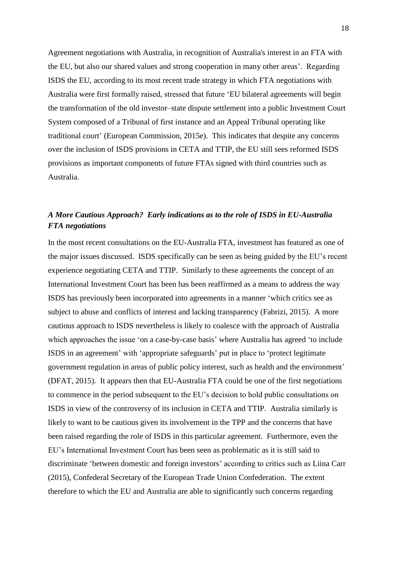Agreement negotiations with Australia, in recognition of Australia's interest in an FTA with the EU, but also our shared values and strong cooperation in many other areas'. Regarding ISDS the EU, according to its most recent trade strategy in which FTA negotiations with Australia were first formally raised, stressed that future 'EU bilateral agreements will begin the transformation of the old investor–state dispute settlement into a public Investment Court System composed of a Tribunal of first instance and an Appeal Tribunal operating like traditional court' (European Commission, 2015e). This indicates that despite any concerns over the inclusion of ISDS provisions in CETA and TTIP, the EU still sees reformed ISDS provisions as important components of future FTAs signed with third countries such as Australia.

# *A More Cautious Approach? Early indications as to the role of ISDS in EU-Australia FTA negotiations*

In the most recent consultations on the EU-Australia FTA, investment has featured as one of the major issues discussed. ISDS specifically can be seen as being guided by the EU's recent experience negotiating CETA and TTIP. Similarly to these agreements the concept of an International Investment Court has been has been reaffirmed as a means to address the way ISDS has previously been incorporated into agreements in a manner ‗which critics see as subject to abuse and conflicts of interest and lacking transparency (Fabrizi, 2015). A more cautious approach to ISDS nevertheless is likely to coalesce with the approach of Australia which approaches the issue 'on a case-by-case basis' where Australia has agreed 'to include ISDS in an agreement' with 'appropriate safeguards' put in place to 'protect legitimate government regulation in areas of public policy interest, such as health and the environment' (DFAT, 2015). It appears then that EU-Australia FTA could be one of the first negotiations to commence in the period subsequent to the EU's decision to hold public consultations on ISDS in view of the controversy of its inclusion in CETA and TTIP. Australia similarly is likely to want to be cautious given its involvement in the TPP and the concerns that have been raised regarding the role of ISDS in this particular agreement. Furthermore, even the EU's International Investment Court has been seen as problematic as it is still said to discriminate 'between domestic and foreign investors' according to critics such as Liina Carr (2015), Confederal Secretary of the European Trade Union Confederation. The extent therefore to which the EU and Australia are able to significantly such concerns regarding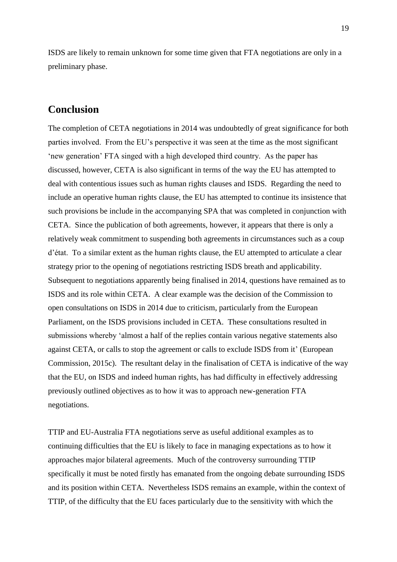ISDS are likely to remain unknown for some time given that FTA negotiations are only in a preliminary phase.

# **Conclusion**

The completion of CETA negotiations in 2014 was undoubtedly of great significance for both parties involved. From the EU's perspective it was seen at the time as the most significant ‗new generation' FTA singed with a high developed third country. As the paper has discussed, however, CETA is also significant in terms of the way the EU has attempted to deal with contentious issues such as human rights clauses and ISDS. Regarding the need to include an operative human rights clause, the EU has attempted to continue its insistence that such provisions be include in the accompanying SPA that was completed in conjunction with CETA. Since the publication of both agreements, however, it appears that there is only a relatively weak commitment to suspending both agreements in circumstances such as a coup d'état. To a similar extent as the human rights clause, the EU attempted to articulate a clear strategy prior to the opening of negotiations restricting ISDS breath and applicability. Subsequent to negotiations apparently being finalised in 2014, questions have remained as to ISDS and its role within CETA. A clear example was the decision of the Commission to open consultations on ISDS in 2014 due to criticism, particularly from the European Parliament, on the ISDS provisions included in CETA. These consultations resulted in submissions whereby 'almost a half of the replies contain various negative statements also against CETA, or calls to stop the agreement or calls to exclude ISDS from it' (European Commission, 2015c). The resultant delay in the finalisation of CETA is indicative of the way that the EU, on ISDS and indeed human rights, has had difficulty in effectively addressing previously outlined objectives as to how it was to approach new-generation FTA negotiations.

TTIP and EU-Australia FTA negotiations serve as useful additional examples as to continuing difficulties that the EU is likely to face in managing expectations as to how it approaches major bilateral agreements. Much of the controversy surrounding TTIP specifically it must be noted firstly has emanated from the ongoing debate surrounding ISDS and its position within CETA. Nevertheless ISDS remains an example, within the context of TTIP, of the difficulty that the EU faces particularly due to the sensitivity with which the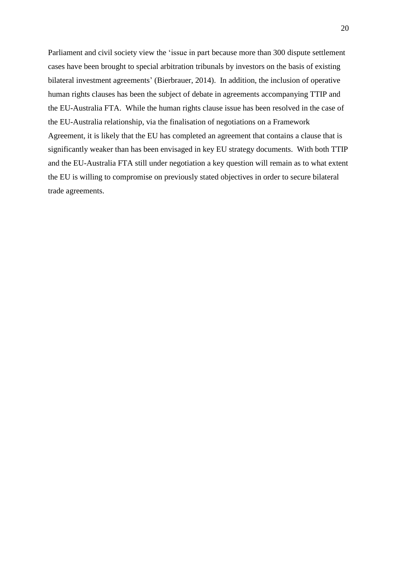Parliament and civil society view the 'issue in part because more than 300 dispute settlement cases have been brought to special arbitration tribunals by investors on the basis of existing bilateral investment agreements' (Bierbrauer, 2014). In addition, the inclusion of operative human rights clauses has been the subject of debate in agreements accompanying TTIP and the EU-Australia FTA. While the human rights clause issue has been resolved in the case of the EU-Australia relationship, via the finalisation of negotiations on a Framework Agreement, it is likely that the EU has completed an agreement that contains a clause that is significantly weaker than has been envisaged in key EU strategy documents. With both TTIP and the EU-Australia FTA still under negotiation a key question will remain as to what extent the EU is willing to compromise on previously stated objectives in order to secure bilateral trade agreements.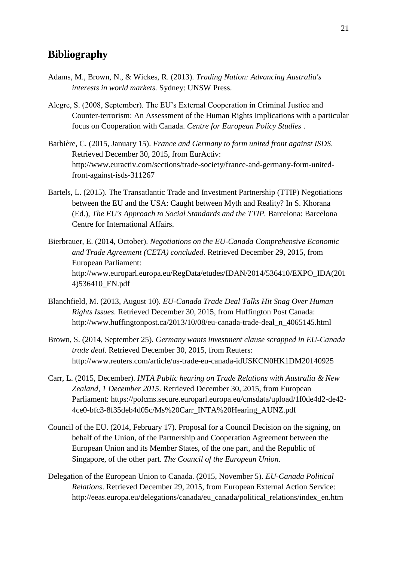# **Bibliography**

- Adams, M., Brown, N., & Wickes, R. (2013). *Trading Nation: Advancing Australia's interests in world markets.* Sydney: UNSW Press.
- Alegre, S. (2008, September). The EU's External Cooperation in Criminal Justice and Counter-terrorism: An Assessment of the Human Rights Implications with a particular focus on Cooperation with Canada. *Centre for European Policy Studies* .
- Barbière, C. (2015, January 15). *France and Germany to form united front against ISDS*. Retrieved December 30, 2015, from EurActiv: http://www.euractiv.com/sections/trade-society/france-and-germany-form-unitedfront-against-isds-311267
- Bartels, L. (2015). The Transatlantic Trade and Investment Partnership (TTIP) Negotiations between the EU and the USA: Caught between Myth and Reality? In S. Khorana (Ed.), *The EU's Approach to Social Standards and the TTIP.* Barcelona: Barcelona Centre for International Affairs.
- Bierbrauer, E. (2014, October). *Negotiations on the EU-Canada Comprehensive Economic and Trade Agreement (CETA) concluded*. Retrieved December 29, 2015, from European Parliament: http://www.europarl.europa.eu/RegData/etudes/IDAN/2014/536410/EXPO\_IDA(201 4)536410\_EN.pdf
- Blanchfield, M. (2013, August 10). *EU-Canada Trade Deal Talks Hit Snag Over Human Rights Issues*. Retrieved December 30, 2015, from Huffington Post Canada: http://www.huffingtonpost.ca/2013/10/08/eu-canada-trade-deal\_n\_4065145.html
- Brown, S. (2014, September 25). *Germany wants investment clause scrapped in EU-Canada trade deal*. Retrieved December 30, 2015, from Reuters: http://www.reuters.com/article/us-trade-eu-canada-idUSKCN0HK1DM20140925
- Carr, L. (2015, December). *INTA Public hearing on Trade Relations with Australia & New Zealand, 1 December 2015*. Retrieved December 30, 2015, from European Parliament: https://polcms.secure.europarl.europa.eu/cmsdata/upload/1f0de4d2-de42- 4ce0-bfc3-8f35deb4d05c/Ms%20Carr\_INTA%20Hearing\_AUNZ.pdf
- Council of the EU. (2014, February 17). Proposal for a Council Decision on the signing, on behalf of the Union, of the Partnership and Cooperation Agreement between the European Union and its Member States, of the one part, and the Republic of Singapore, of the other part. *The Council of the European Union*.
- Delegation of the European Union to Canada. (2015, November 5). *EU-Canada Political Relations*. Retrieved December 29, 2015, from European External Action Service: http://eeas.europa.eu/delegations/canada/eu\_canada/political\_relations/index\_en.htm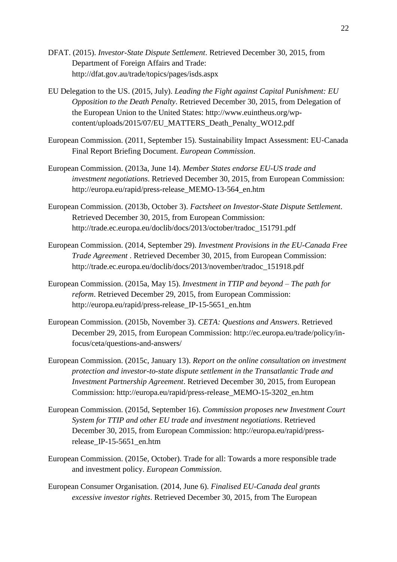- DFAT. (2015). *Investor-State Dispute Settlement*. Retrieved December 30, 2015, from Department of Foreign Affairs and Trade: http://dfat.gov.au/trade/topics/pages/isds.aspx
- EU Delegation to the US. (2015, July). *Leading the Fight against Capital Punishment: EU Opposition to the Death Penalty*. Retrieved December 30, 2015, from Delegation of the European Union to the United States: http://www.euintheus.org/wpcontent/uploads/2015/07/EU\_MATTERS\_Death\_Penalty\_WO12.pdf
- European Commission. (2011, September 15). Sustainability Impact Assessment: EU‐Canada Final Report Briefing Document. *European Commission*.
- European Commission. (2013a, June 14). *Member States endorse EU-US trade and investment negotiations*. Retrieved December 30, 2015, from European Commission: http://europa.eu/rapid/press-release\_MEMO-13-564\_en.htm
- European Commission. (2013b, October 3). *Factsheet on Investor-State Dispute Settlement*. Retrieved December 30, 2015, from European Commission: http://trade.ec.europa.eu/doclib/docs/2013/october/tradoc\_151791.pdf
- European Commission. (2014, September 29). *Investment Provisions in the EU-Canada Free Trade Agreement* . Retrieved December 30, 2015, from European Commission: http://trade.ec.europa.eu/doclib/docs/2013/november/tradoc\_151918.pdf
- European Commission. (2015a, May 15). *Investment in TTIP and beyond – The path for reform*. Retrieved December 29, 2015, from European Commission: http://europa.eu/rapid/press-release\_IP-15-5651\_en.htm
- European Commission. (2015b, November 3). *CETA: Questions and Answers*. Retrieved December 29, 2015, from European Commission: http://ec.europa.eu/trade/policy/infocus/ceta/questions-and-answers/
- European Commission. (2015c, January 13). *Report on the online consultation on investment protection and investor-to-state dispute settlement in the Transatlantic Trade and Investment Partnership Agreement*. Retrieved December 30, 2015, from European Commission: http://europa.eu/rapid/press-release\_MEMO-15-3202\_en.htm
- European Commission. (2015d, September 16). *Commission proposes new Investment Court System for TTIP and other EU trade and investment negotiations*. Retrieved December 30, 2015, from European Commission: http://europa.eu/rapid/pressrelease IP-15-5651 en.htm
- European Commission. (2015e, October). Trade for all: Towards a more responsible trade and investment policy. *European Commission*.
- European Consumer Organisation. (2014, June 6). *Finalised EU-Canada deal grants excessive investor rights*. Retrieved December 30, 2015, from The European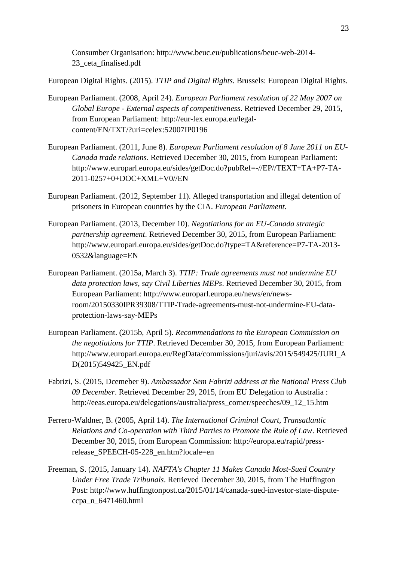Consumber Organisation: http://www.beuc.eu/publications/beuc-web-2014- 23\_ceta\_finalised.pdf

European Digital Rights. (2015). *TTIP and Digital Rights.* Brussels: European Digital Rights.

- European Parliament. (2008, April 24). *European Parliament resolution of 22 May 2007 on Global Europe - External aspects of competitiveness*. Retrieved December 29, 2015, from European Parliament: http://eur-lex.europa.eu/legalcontent/EN/TXT/?uri=celex:52007IP0196
- European Parliament. (2011, June 8). *European Parliament resolution of 8 June 2011 on EU-Canada trade relations*. Retrieved December 30, 2015, from European Parliament: http://www.europarl.europa.eu/sides/getDoc.do?pubRef=-//EP//TEXT+TA+P7-TA-2011-0257+0+DOC+XML+V0//EN
- European Parliament. (2012, September 11). Alleged transportation and illegal detention of prisoners in European countries by the CIA. *European Parliament*.
- European Parliament. (2013, December 10). *Negotiations for an EU-Canada strategic partnership agreement*. Retrieved December 30, 2015, from European Parliament: http://www.europarl.europa.eu/sides/getDoc.do?type=TA&reference=P7-TA-2013- 0532&language=EN
- European Parliament. (2015a, March 3). *TTIP: Trade agreements must not undermine EU data protection laws, say Civil Liberties MEPs*. Retrieved December 30, 2015, from European Parliament: http://www.europarl.europa.eu/news/en/newsroom/20150330IPR39308/TTIP-Trade-agreements-must-not-undermine-EU-dataprotection-laws-say-MEPs
- European Parliament. (2015b, April 5). *Recommendations to the European Commission on the negotiations for TTIP*. Retrieved December 30, 2015, from European Parliament: http://www.europarl.europa.eu/RegData/commissions/juri/avis/2015/549425/JURI\_A D(2015)549425\_EN.pdf
- Fabrizi, S. (2015, Dcemeber 9). *Ambassador Sem Fabrizi address at the National Press Club 09 December*. Retrieved December 29, 2015, from EU Delegation to Australia : http://eeas.europa.eu/delegations/australia/press\_corner/speeches/09\_12\_15.htm
- Ferrero-Waldner, B. (2005, April 14). *The International Criminal Court, Transatlantic Relations and Co-operation with Third Parties to Promote the Rule of Law*. Retrieved December 30, 2015, from European Commission: http://europa.eu/rapid/pressrelease\_SPEECH-05-228\_en.htm?locale=en
- Freeman, S. (2015, January 14). *NAFTA's Chapter 11 Makes Canada Most-Sued Country Under Free Trade Tribunals*. Retrieved December 30, 2015, from The Huffington Post: http://www.huffingtonpost.ca/2015/01/14/canada-sued-investor-state-disputeccpa\_n\_6471460.html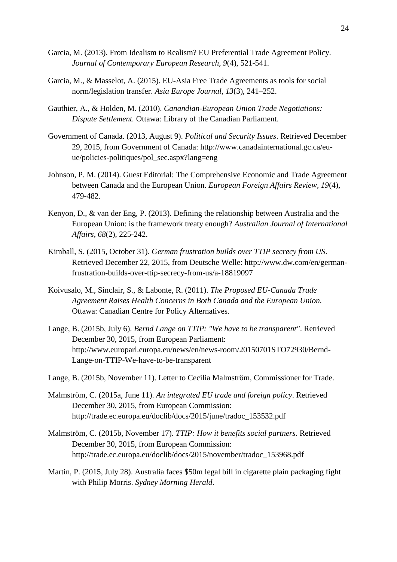- Garcia, M. (2013). From Idealism to Realism? EU Preferential Trade Agreement Policy. *Journal of Contemporary European Research, 9*(4), 521-541.
- Garcia, M., & Masselot, A. (2015). EU-Asia Free Trade Agreements as tools for social norm/legislation transfer. *Asia Europe Journal, 13*(3), 241–252.
- Gauthier, A., & Holden, M. (2010). *Canandian-European Union Trade Negotiations: Dispute Settlement.* Ottawa: Library of the Canadian Parliament.
- Government of Canada. (2013, August 9). *Political and Security Issues*. Retrieved December 29, 2015, from Government of Canada: http://www.canadainternational.gc.ca/euue/policies-politiques/pol\_sec.aspx?lang=eng
- Johnson, P. M. (2014). Guest Editorial: The Comprehensive Economic and Trade Agreement between Canada and the European Union. *European Foreign Affairs Review, 19*(4), 479-482.
- Kenyon, D., & van der Eng, P. (2013). Defining the relationship between Australia and the European Union: is the framework treaty enough? *Australian Journal of International Affairs, 68*(2), 225-242.
- Kimball, S. (2015, October 31). *German frustration builds over TTIP secrecy from US*. Retrieved December 22, 2015, from Deutsche Welle: http://www.dw.com/en/germanfrustration-builds-over-ttip-secrecy-from-us/a-18819097
- Koivusalo, M., Sinclair, S., & Labonte, R. (2011). *The Proposed EU-Canada Trade Agreement Raises Health Concerns in Both Canada and the European Union.* Ottawa: Canadian Centre for Policy Alternatives.
- Lange, B. (2015b, July 6). *Bernd Lange on TTIP: "We have to be transparent"*. Retrieved December 30, 2015, from European Parliament: http://www.europarl.europa.eu/news/en/news-room/20150701STO72930/Bernd-Lange-on-TTIP-We-have-to-be-transparent
- Lange, B. (2015b, November 11). Letter to Cecilia Malmström, Commissioner for Trade.
- Malmström, C. (2015a, June 11). *An integrated EU trade and foreign policy*. Retrieved December 30, 2015, from European Commission: http://trade.ec.europa.eu/doclib/docs/2015/june/tradoc\_153532.pdf
- Malmström, C. (2015b, November 17). *TTIP: How it benefits social partners*. Retrieved December 30, 2015, from European Commission: http://trade.ec.europa.eu/doclib/docs/2015/november/tradoc\_153968.pdf
- Martin, P. (2015, July 28). Australia faces \$50m legal bill in cigarette plain packaging fight with Philip Morris. *Sydney Morning Herald*.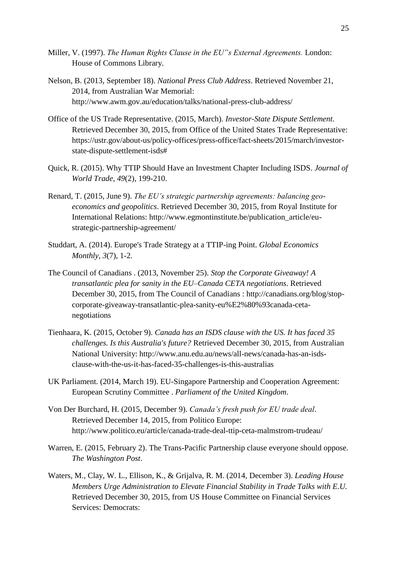- Miller, V. (1997). *The Human Rights Clause in the EU"s External Agreements.* London: House of Commons Library.
- Nelson, B. (2013, September 18). *National Press Club Address*. Retrieved November 21, 2014, from Australian War Memorial: http://www.awm.gov.au/education/talks/national-press-club-address/
- Office of the US Trade Representative. (2015, March). *Investor-State Dispute Settlement*. Retrieved December 30, 2015, from Office of the United States Trade Representative: https://ustr.gov/about-us/policy-offices/press-office/fact-sheets/2015/march/investorstate-dispute-settlement-isds#
- Quick, R. (2015). Why TTIP Should Have an Investment Chapter Including ISDS. *Journal of World Trade, 49*(2), 199-210.
- Renard, T. (2015, June 9). *The EU's strategic partnership agreements: balancing geoeconomics and geopolitics*. Retrieved December 30, 2015, from Royal Institute for International Relations: http://www.egmontinstitute.be/publication\_article/eustrategic-partnership-agreement/
- Studdart, A. (2014). Europe's Trade Strategy at a TTIP-ing Point. *Global Economics Monthly, 3*(7), 1-2.
- The Council of Canadians . (2013, November 25). *Stop the Corporate Giveaway! A transatlantic plea for sanity in the EU–Canada CETA negotiations*. Retrieved December 30, 2015, from The Council of Canadians : http://canadians.org/blog/stopcorporate-giveaway-transatlantic-plea-sanity-eu%E2%80%93canada-cetanegotiations
- Tienhaara, K. (2015, October 9). *Canada has an ISDS clause with the US. It has faced 35 challenges. Is this Australia's future?* Retrieved December 30, 2015, from Australian National University: http://www.anu.edu.au/news/all-news/canada-has-an-isdsclause-with-the-us-it-has-faced-35-challenges-is-this-australias
- UK Parliament. (2014, March 19). EU-Singapore Partnership and Cooperation Agreement: European Scrutiny Committee . *Parliament of the United Kingdom*.
- Von Der Burchard, H. (2015, December 9). *Canada's fresh push for EU trade deal*. Retrieved December 14, 2015, from Politico Europe: http://www.politico.eu/article/canada-trade-deal-ttip-ceta-malmstrom-trudeau/
- Warren, E. (2015, February 2). The Trans-Pacific Partnership clause everyone should oppose. *The Washington Post*.
- Waters, M., Clay, W. L., Ellison, K., & Grijalva, R. M. (2014, December 3). *Leading House Members Urge Administration to Elevate Financial Stability in Trade Talks with E.U.* Retrieved December 30, 2015, from US House Committee on Financial Services Services: Democrats: